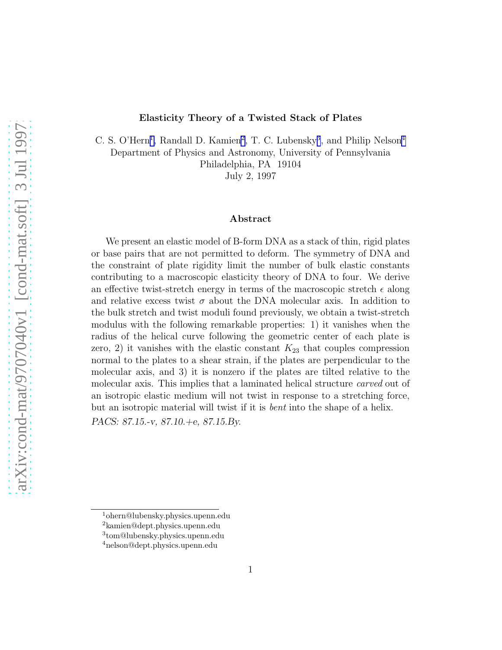#### Elasticity Theory of a Twisted Stack of Plates

C. S. O'Hern<sup>1</sup>, Randall D. Kamien<sup>2</sup>, T. C. Lubensky<sup>3</sup>, and Philip Nelson<sup>4</sup> Department of Physics and Astronomy, University of Pennsylvania Philadelphia, PA 19104

July 2, 1997

#### Abstract

We present an elastic model of B-form DNA as a stack of thin, rigid plates or base pairs that are not permitted to deform. The symmetry of DNA and the constraint of plate rigidity limit the number of bulk elastic constants contributing to a macroscopic elasticity theory of DNA to four. We derive an effective twist-stretch energy in terms of the macroscopic stretch  $\epsilon$  along and relative excess twist  $\sigma$  about the DNA molecular axis. In addition to the bulk stretch and twist moduli found previously, we obtain a twist-stretch modulus with the following remarkable properties: 1) it vanishes when the radius of the helical curve following the geometric center of each plate is zero, 2) it vanishes with the elastic constant  $K_{23}$  that couples compression normal to the plates to a shear strain, if the plates are perpendicular to the molecular axis, and 3) it is nonzero if the plates are tilted relative to the molecular axis. This implies that a laminated helical structure *carved* out of an isotropic elastic medium will not twist in response to a stretching force, but an isotropic material will twist if it is *bent* into the shape of a helix. *PACS: 87.15.-v, 87.10.+e, 87.15.By.*

<sup>1</sup>ohern@lubensky.physics.upenn.edu <sup>2</sup>kamien@dept.physics.upenn.edu

<sup>3</sup> tom@lubensky.physics.upenn.edu

<sup>4</sup>nelson@dept.physics.upenn.edu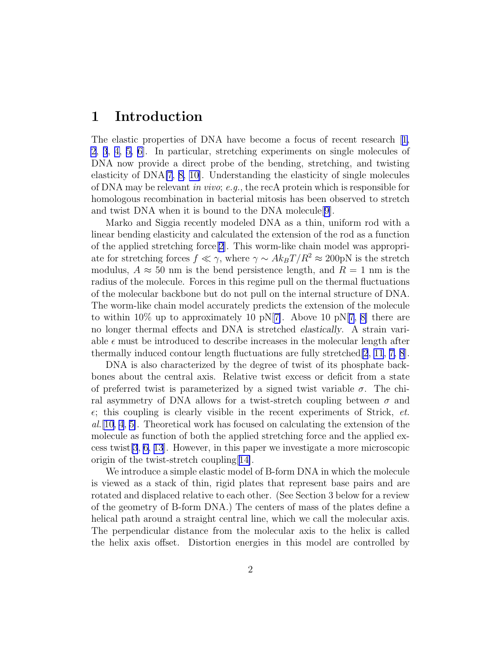### 1 Introduction

The elastic properties of DNA have become a focus of recent research[[1,](#page-15-0) [2](#page-16-0), [3](#page-16-0), [4, 5, 6\]](#page-16-0). In particular, stretching experiments on single molecules of DNA now provide a direct probe of the bending, stretching, and twisting elasticity of DNA[\[7](#page-16-0), [8, 10\]](#page-16-0). Understanding the elasticity of single molecules of DNA may be relevant *in vivo*; *e.g.*, the recA protein which is responsible for homologous recombination in bacterial mitosis has been observed to stretch and twist DNA when it is bound to the DNA molecule[[9\]](#page-16-0).

Marko and Siggia recently modeled DNA as a thin, uniform rod with a linear bending elasticity and calculated the extension of the rod as a function of the applied stretching force[\[2\]](#page-16-0). This worm-like chain model was appropriate for stretching forces  $f \ll \gamma$ , where  $\gamma \sim Ak_BT/R^2 \approx 200 \text{pN}$  is the stretch modulus,  $A \approx 50$  nm is the bend persistence length, and  $R = 1$  nm is the radius of the molecule. Forces in this regime pull on the thermal fluctuations of the molecular backbone but do not pull on the internal structure of DNA. The worm-like chain model accurately predicts the extension of the molecule to within 10% up to approximately 10 pN[[7\]](#page-16-0). Above 10 pN[\[7](#page-16-0), [8\]](#page-16-0) there are no longer thermal effects and DNA is stretched *elastically*. A strain variable  $\epsilon$  must be introduced to describe increases in the molecular length after thermally induced contour length fluctuations are fully stretched  $[2, 11, 7, 8]$  $[2, 11, 7, 8]$  $[2, 11, 7, 8]$  $[2, 11, 7, 8]$  $[2, 11, 7, 8]$  $[2, 11, 7, 8]$ .

DNA is also characterized by the degree of twist of its phosphate backbones about the central axis. Relative twist excess or deficit from a state of preferred twist is parameterized by a signed twist variable  $\sigma$ . The chiral asymmetry of DNA allows for a twist-stretch coupling between  $\sigma$  and  $\epsilon$ ; this coupling is clearly visible in the recent experiments of Strick, *et*. *al.*[\[10, 4](#page-16-0), [5\]](#page-16-0). Theoretical work has focused on calculating the extension of the molecule as function of both the applied stretching force and the applied excess twist[\[3](#page-16-0), [6, 13](#page-16-0)]. However, in this paper we investigate a more microscopic origin of the twist-stretch coupling[[14\]](#page-16-0).

We introduce a simple elastic model of B-form DNA in which the molecule is viewed as a stack of thin, rigid plates that represent base pairs and are rotated and displaced relative to each other. (See Section 3 below for a review of the geometry of B-form DNA.) The centers of mass of the plates define a helical path around a straight central line, which we call the molecular axis. The perpendicular distance from the molecular axis to the helix is called the helix axis offset. Distortion energies in this model are controlled by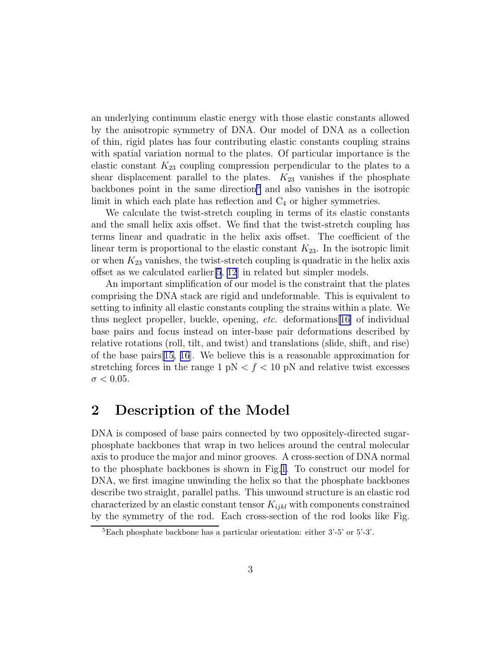an underlying continuum elastic energy with those elastic constants allowed by the anisotropic symmetry of DNA. Our model of DNA as a collection of thin, rigid plates has four contributing elastic constants coupling strains with spatial variation normal to the plates. Of particular importance is the elastic constant  $K_{23}$  coupling compression perpendicular to the plates to a shear displacement parallel to the plates.  $K_{23}$  vanishes if the phosphate backbones point in the same direction<sup>5</sup> and also vanishes in the isotropic limit in which each plate has reflection and  $C_4$  or higher symmetries.

We calculate the twist-stretch coupling in terms of its elastic constants and the small helix axis offset. We find that the twist-stretch coupling has terms linear and quadratic in the helix axis offset. The coefficient of the linear term is proportional to the elastic constant  $K_{23}$ . In the isotropic limit or when  $K_{23}$  vanishes, the twist-stretch coupling is quadratic in the helix axis offset as we calculated earlier[\[5](#page-16-0), [12](#page-16-0)] in related but simpler models.

An important simplification of our model is the constraint that the plates comprising the DNA stack are rigid and undeformable. This is equivalent to setting to infinity all elastic constants coupling the strains within a plate. We thus neglect propeller, buckle, opening, *etc*. deformations[\[16\]](#page-17-0) of individual base pairs and focus instead on inter-base pair deformations described by relative rotations (roll, tilt, and twist) and translations (slide, shift, and rise) of the base pairs[\[15, 16](#page-17-0)]. We believe this is a reasonable approximation for stretching forces in the range 1  $pN < f < 10 pN$  and relative twist excesses  $\sigma < 0.05$ .

# 2 Description of the Model

DNA is composed of base pairs connected by two oppositely-directed sugarphosphate backbones that wrap in two helices around the central molecular axis to produce the major and minor grooves. A cross-section of DNA normal to the phosphate backbones is shown in Fig[.1](#page-18-0). To construct our model for DNA, we first imagine unwinding the helix so that the phosphate backbones describe two straight, parallel paths. This unwound structure is an elastic rod characterized by an elastic constant tensor  $K_{ijkl}$  with components constrained by the symmetry of the rod. Each cross-section of the rod looks like Fig.

 ${}^{5}$ Each phosphate backbone has a particular orientation: either  $3'$ -5' or  $5'$ -3'.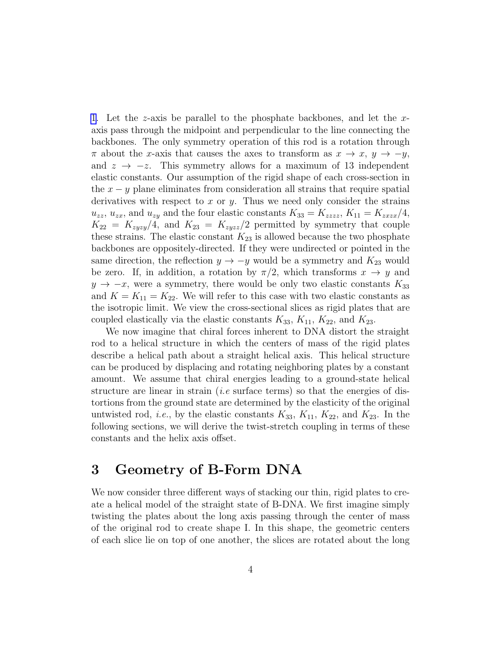[1](#page-18-0). Let the z-axis be parallel to the phosphate backbones, and let the xaxis pass through the midpoint and perpendicular to the line connecting the backbones. The only symmetry operation of this rod is a rotation through  $\pi$  about the x-axis that causes the axes to transform as  $x \to x$ ,  $y \to -y$ , and  $z \rightarrow -z$ . This symmetry allows for a maximum of 13 independent elastic constants. Our assumption of the rigid shape of each cross-section in the  $x - y$  plane eliminates from consideration all strains that require spatial derivatives with respect to x or y. Thus we need only consider the strains  $u_{zz}$ ,  $u_{zx}$ , and  $u_{zy}$  and the four elastic constants  $K_{33} = K_{zzzz}$ ,  $K_{11} = K_{zxzx}/4$ ,  $K_{22} = K_{zyzy}/4$ , and  $K_{23} = K_{zyzz}/2$  permitted by symmetry that couple these strains. The elastic constant  $K_{23}$  is allowed because the two phosphate backbones are oppositely-directed. If they were undirected or pointed in the same direction, the reflection  $y \rightarrow -y$  would be a symmetry and  $K_{23}$  would be zero. If, in addition, a rotation by  $\pi/2$ , which transforms  $x \to y$  and  $y \rightarrow -x$ , were a symmetry, there would be only two elastic constants  $K_{33}$ and  $K = K_{11} = K_{22}$ . We will refer to this case with two elastic constants as the isotropic limit. We view the cross-sectional slices as rigid plates that are coupled elastically via the elastic constants  $K_{33}$ ,  $K_{11}$ ,  $K_{22}$ , and  $K_{23}$ .

We now imagine that chiral forces inherent to DNA distort the straight rod to a helical structure in which the centers of mass of the rigid plates describe a helical path about a straight helical axis. This helical structure can be produced by displacing and rotating neighboring plates by a constant amount. We assume that chiral energies leading to a ground-state helical structure are linear in strain (*i.e* surface terms) so that the energies of distortions from the ground state are determined by the elasticity of the original untwisted rod, *i.e.*, by the elastic constants  $K_{33}$ ,  $K_{11}$ ,  $K_{22}$ , and  $K_{23}$ . In the following sections, we will derive the twist-stretch coupling in terms of these constants and the helix axis offset.

# 3 Geometry of B-Form DNA

We now consider three different ways of stacking our thin, rigid plates to create a helical model of the straight state of B-DNA. We first imagine simply twisting the plates about the long axis passing through the center of mass of the original rod to create shape I. In this shape, the geometric centers of each slice lie on top of one another, the slices are rotated about the long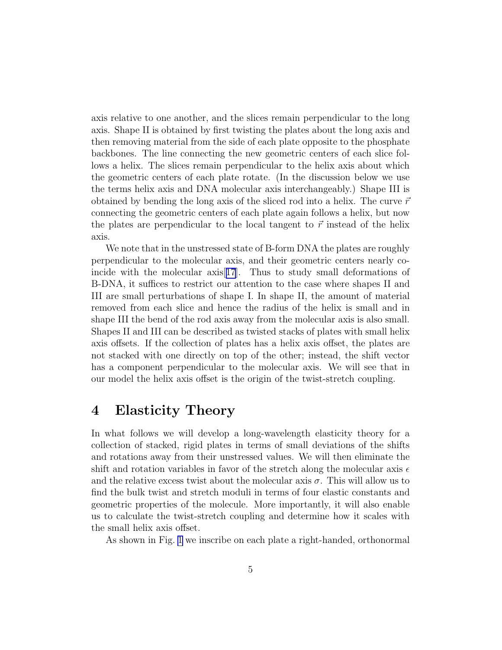axis relative to one another, and the slices remain perpendicular to the long axis. Shape II is obtained by first twisting the plates about the long axis and then removing material from the side of each plate opposite to the phosphate backbones. The line connecting the new geometric centers of each slice follows a helix. The slices remain perpendicular to the helix axis about which the geometric centers of each plate rotate. (In the discussion below we use the terms helix axis and DNA molecular axis interchangeably.) Shape III is obtained by bending the long axis of the sliced rod into a helix. The curve  $\vec{r}$ connecting the geometric centers of each plate again follows a helix, but now the plates are perpendicular to the local tangent to  $\vec{r}$  instead of the helix axis.

We note that in the unstressed state of B-form DNA the plates are roughly perpendicular to the molecular axis, and their geometric centers nearly coincide with the molecular axis[[17](#page-17-0)]. Thus to study small deformations of B-DNA, it suffices to restrict our attention to the case where shapes II and III are small perturbations of shape I. In shape II, the amount of material removed from each slice and hence the radius of the helix is small and in shape III the bend of the rod axis away from the molecular axis is also small. Shapes II and III can be described as twisted stacks of plates with small helix axis offsets. If the collection of plates has a helix axis offset, the plates are not stacked with one directly on top of the other; instead, the shift vector has a component perpendicular to the molecular axis. We will see that in our model the helix axis offset is the origin of the twist-stretch coupling.

# 4 Elasticity Theory

In what follows we will develop a long-wavelength elasticity theory for a collection of stacked, rigid plates in terms of small deviations of the shifts and rotations away from their unstressed values. We will then eliminate the shift and rotation variables in favor of the stretch along the molecular axis  $\epsilon$ and the relative excess twist about the molecular axis  $\sigma$ . This will allow us to find the bulk twist and stretch moduli in terms of four elastic constants and geometric properties of the molecule. More importantly, it will also enable us to calculate the twist-stretch coupling and determine how it scales with the small helix axis offset.

As shown in Fig. [1](#page-18-0) we inscribe on each plate a right-handed, orthonormal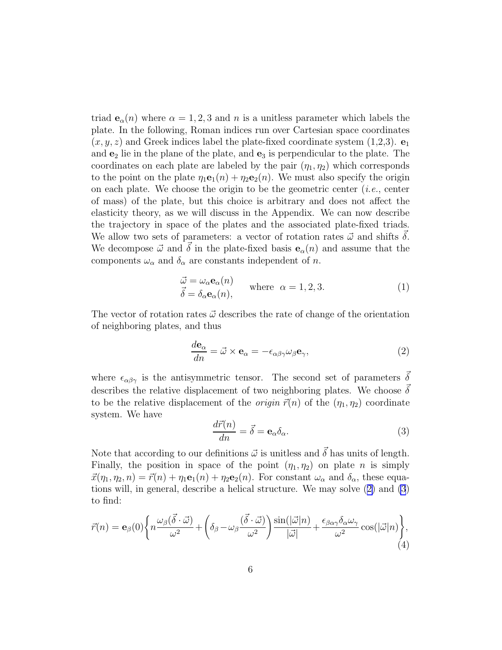<span id="page-5-0"></span>triad  $e_{\alpha}(n)$  where  $\alpha = 1, 2, 3$  and n is a unitless parameter which labels the plate. In the following, Roman indices run over Cartesian space coordinates  $(x, y, z)$  and Greek indices label the plate-fixed coordinate system (1,2,3).  $\mathbf{e}_1$ and  $e_2$  lie in the plane of the plate, and  $e_3$  is perpendicular to the plate. The coordinates on each plate are labeled by the pair  $(\eta_1, \eta_2)$  which corresponds to the point on the plate  $\eta_1\mathbf{e}_1(n) + \eta_2\mathbf{e}_2(n)$ . We must also specify the origin on each plate. We choose the origin to be the geometric center (*i.e.*, center of mass) of the plate, but this choice is arbitrary and does not affect the elasticity theory, as we will discuss in the Appendix. We can now describe the trajectory in space of the plates and the associated plate-fixed triads. We allow two sets of parameters: a vector of rotation rates  $\vec{\omega}$  and shifts  $\delta$ . We decompose  $\vec{\omega}$  and  $\vec{\delta}$  in the plate-fixed basis  $e_{\alpha}(n)$  and assume that the components  $\omega_{\alpha}$  and  $\delta_{\alpha}$  are constants independent of n.

$$
\begin{aligned}\n\vec{\omega} &= \omega_{\alpha} \mathbf{e}_{\alpha}(n) \\
\vec{\delta} &= \delta_{\alpha} \mathbf{e}_{\alpha}(n),\n\end{aligned}\n\quad \text{where } \alpha = 1, 2, 3.
$$
\n(1)

The vector of rotation rates  $\vec{\omega}$  describes the rate of change of the orientation of neighboring plates, and thus

$$
\frac{d\mathbf{e}_{\alpha}}{dn} = \vec{\omega} \times \mathbf{e}_{\alpha} = -\epsilon_{\alpha\beta\gamma}\omega_{\beta}\mathbf{e}_{\gamma},\tag{2}
$$

where  $\epsilon_{\alpha\beta\gamma}$  is the antisymmetric tensor. The second set of parameters  $\vec{\delta}$ describes the relative displacement of two neighboring plates. We choose  $\delta$ to be the relative displacement of the *origin*  $\vec{r}(n)$  of the  $(\eta_1, \eta_2)$  coordinate system. We have

$$
\frac{d\vec{r}(n)}{dn} = \vec{\delta} = \mathbf{e}_{\alpha}\delta_{\alpha}.
$$
 (3)

Note that according to our definitions  $\vec{\omega}$  is unitless and  $\vec{\delta}$  has units of length. Finally, the position in space of the point  $(\eta_1, \eta_2)$  on plate n is simply  $\vec{x}(\eta_1, \eta_2, n) = \vec{r}(n) + \eta_1 \mathbf{e}_1(n) + \eta_2 \mathbf{e}_2(n)$ . For constant  $\omega_\alpha$  and  $\delta_\alpha$ , these equations will, in general, describe a helical structure. We may solve (2) and (3) to find:

$$
\vec{r}(n) = \mathbf{e}_{\beta}(0) \left\{ n \frac{\omega_{\beta}(\vec{\delta} \cdot \vec{\omega})}{\omega^2} + \left(\delta_{\beta} - \omega_{\beta} \frac{(\vec{\delta} \cdot \vec{\omega})}{\omega^2} \right) \frac{\sin(|\vec{\omega}|n)}{|\vec{\omega}|} + \frac{\epsilon_{\beta\alpha\gamma}\delta_{\alpha}\omega_{\gamma}}{\omega^2} \cos(|\vec{\omega}|n) \right\},\tag{4}
$$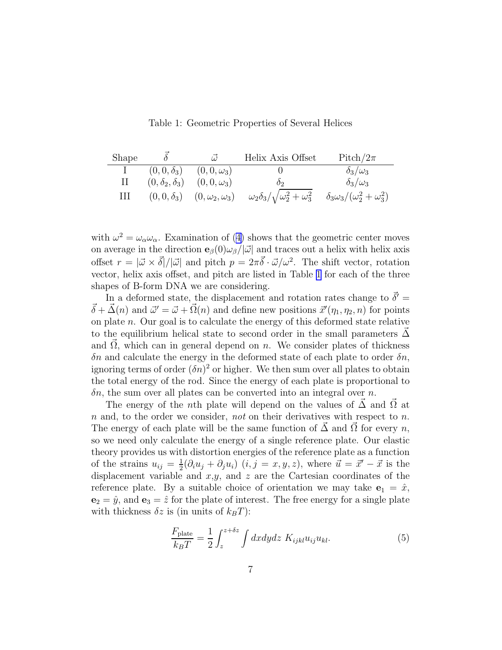Table 1: Geometric Properties of Several Helices

<span id="page-6-0"></span>

| Shape       |                         | $\vec{\omega}$          | Helix Axis Offset                               | Pitch/ $2\pi$                              |
|-------------|-------------------------|-------------------------|-------------------------------------------------|--------------------------------------------|
|             | $(0,0,\delta_3)$        | $(0,0,\omega_3)$        |                                                 | $\delta_3/\omega_3$                        |
| $\rm{II}^-$ | $(0,\delta_2,\delta_3)$ | $(0, 0, \omega_3)$      | ስ∍                                              | $\delta_3/\omega_3$                        |
| Ш           | $(0,0,\delta_3)$        | $(0,\omega_2,\omega_3)$ | $\omega_2\delta_3/\sqrt{\omega_2^2+\omega_3^2}$ | $\delta_3\omega_3/(\omega_2^2+\omega_3^2)$ |

with $\omega^2 = \omega_\alpha \omega_\alpha$ . Examination of ([4\)](#page-5-0) shows that the geometric center moves on average in the direction  $\mathbf{e}_{\beta}(0)\omega_{\beta}/|\vec{\omega}|$  and traces out a helix with helix axis offset  $r = |\vec{\omega} \times \vec{\delta}|/|\vec{\omega}|$  and pitch  $p = 2\pi \vec{\delta} \cdot \vec{\omega}/\omega^2$ . The shift vector, rotation vector, helix axis offset, and pitch are listed in Table 1 for each of the three shapes of B-form DNA we are considering.

In a deformed state, the displacement and rotation rates change to  $\vec{\delta}'$  =  $\vec{\delta} + \vec{\Delta}(n)$  and  $\vec{\omega}' = \vec{\omega} + \vec{\Omega}(n)$  and define new positions  $\vec{x}'(\eta_1, \eta_2, n)$  for points on plate  $n$ . Our goal is to calculate the energy of this deformed state relative to the equilibrium helical state to second order in the small parameters  $\Delta$ and  $\Omega$ , which can in general depend on  $n$ . We consider plates of thickness  $\delta n$  and calculate the energy in the deformed state of each plate to order  $\delta n$ , ignoring terms of order  $(\delta n)^2$  or higher. We then sum over all plates to obtain the total energy of the rod. Since the energy of each plate is proportional to  $\delta n$ , the sum over all plates can be converted into an integral over n.

The energy of the nth plate will depend on the values of  $\Delta$  and  $\Omega$  at n and, to the order we consider, *not* on their derivatives with respect to n. The energy of each plate will be the same function of  $\Delta$  and  $\Omega$  for every n, so we need only calculate the energy of a single reference plate. Our elastic theory provides us with distortion energies of the reference plate as a function of the strains  $u_{ij} = \frac{1}{2}$  $\frac{1}{2}(\partial_i u_j + \partial_j u_i)$   $(i, j = x, y, z)$ , where  $\vec{u} = \vec{x}' - \vec{x}$  is the displacement variable and  $x,y$ , and  $z$  are the Cartesian coordinates of the reference plate. By a suitable choice of orientation we may take  $e_1 = \hat{x}$ ,  $\mathbf{e}_2 = \hat{y}$ , and  $\mathbf{e}_3 = \hat{z}$  for the plate of interest. The free energy for a single plate with thickness  $\delta z$  is (in units of  $k_BT$ ):

$$
\frac{F_{\text{plate}}}{k_B T} = \frac{1}{2} \int_{z}^{z + \delta z} \int dx dy dz \ K_{ijkl} u_{ij} u_{kl}.
$$
 (5)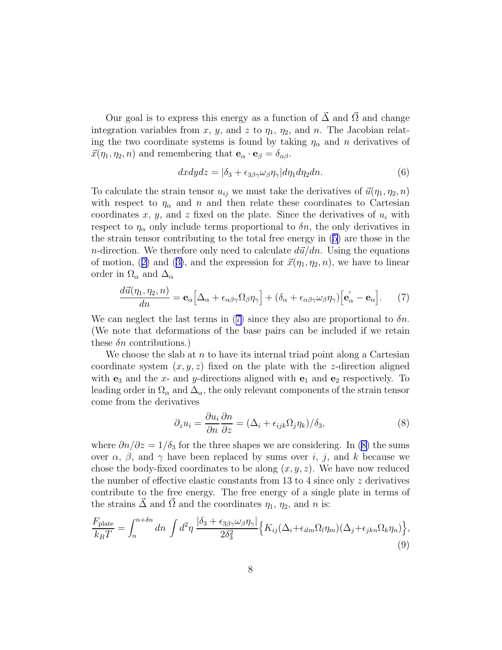<span id="page-7-0"></span>Our goal is to express this energy as a function of  $\vec{\Delta}$  and  $\vec{\Omega}$  and change integration variables from x, y, and z to  $\eta_1$ ,  $\eta_2$ , and n. The Jacobian relating the two coordinate systems is found by taking  $\eta_{\alpha}$  and n derivatives of  $\vec{x}(\eta_1, \eta_2, n)$  and remembering that  $\mathbf{e}_{\alpha} \cdot \mathbf{e}_{\beta} = \delta_{\alpha\beta}$ .

$$
dxdydz = |\delta_3 + \epsilon_{3\beta\gamma}\omega_\beta\eta_\gamma|d\eta_1d\eta_2dn. \tag{6}
$$

To calculate the strain tensor  $u_{ij}$  we must take the derivatives of  $\vec{u}(\eta_1, \eta_2, n)$ with respect to  $\eta_{\alpha}$  and n and then relate these coordinates to Cartesian coordinates x, y, and z fixed on the plate. Since the derivatives of  $u_i$  with respect to  $\eta_{\alpha}$  only include terms proportional to  $\delta n$ , the only derivatives in the strain tensor contributing to the total free energy in([5\)](#page-6-0) are those in the *n*-direction. We therefore only need to calculate  $d\vec{u}/dn$ . Using the equations ofmotion, ([2\)](#page-5-0) and ([3\)](#page-5-0), and the expression for  $\vec{x}(\eta_1, \eta_2, n)$ , we have to linear order in  $\Omega_{\alpha}$  and  $\Delta_{\alpha}$ 

$$
\frac{d\vec{u}(\eta_1, \eta_2, n)}{dn} = \mathbf{e}_{\alpha} \Big[ \Delta_{\alpha} + \epsilon_{\alpha\beta\gamma} \Omega_{\beta} \eta_{\gamma} \Big] + (\delta_{\alpha} + \epsilon_{\alpha\beta\gamma} \omega_{\beta} \eta_{\gamma}) \Big[ \mathbf{e}_{\alpha}^{\prime} - \mathbf{e}_{\alpha} \Big]. \tag{7}
$$

We can neglect the last terms in (7) since they also are proportional to  $\delta n$ . (We note that deformations of the base pairs can be included if we retain these  $\delta n$  contributions.)

We choose the slab at  $n$  to have its internal triad point along a Cartesian coordinate system  $(x, y, z)$  fixed on the plate with the z-direction aligned with  $e_3$  and the x- and y-directions aligned with  $e_1$  and  $e_2$  respectively. To leading order in  $\Omega_{\alpha}$  and  $\Delta_{\alpha}$ , the only relevant components of the strain tensor come from the derivatives

$$
\partial_z u_i = \frac{\partial u_i}{\partial n} \frac{\partial n}{\partial z} = (\Delta_i + \epsilon_{ijk}\Omega_j \eta_k)/\delta_3,
$$
\n(8)

where  $\partial n/\partial z = 1/\delta_3$  for the three shapes we are considering. In (8) the sums over  $\alpha$ ,  $\beta$ , and  $\gamma$  have been replaced by sums over i, j, and k because we chose the body-fixed coordinates to be along  $(x, y, z)$ . We have now reduced the number of effective elastic constants from 13 to 4 since only  $z$  derivatives contribute to the free energy. The free energy of a single plate in terms of the strains  $\vec{\Delta}$  and  $\vec{\Omega}$  and the coordinates  $\eta_1, \eta_2$ , and n is:

$$
\frac{F_{\text{plate}}}{k_B T} = \int_n^{n+\delta n} dn \int d^2 \eta \, \frac{|\delta_3 + \epsilon_{3\beta\gamma}\omega_\beta\eta_\gamma|}{2\delta_3^2} \Big\{ K_{ij} (\Delta_i + \epsilon_{ilm}\Omega_l\eta_m) (\Delta_j + \epsilon_{jkn}\Omega_k\eta_n) \Big\},\tag{9}
$$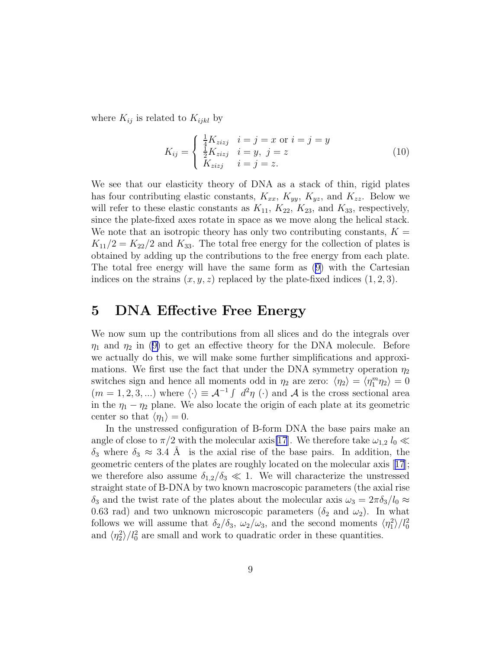where  $K_{ij}$  is related to  $K_{ijkl}$  by

$$
K_{ij} = \begin{cases} \frac{1}{4}K_{zizj} & i = j = x \text{ or } i = j = y\\ \frac{1}{2}K_{zizj} & i = y, j = z\\ K_{zizj} & i = j = z. \end{cases}
$$
(10)

We see that our elasticity theory of DNA as a stack of thin, rigid plates has four contributing elastic constants,  $K_{xx}$ ,  $K_{yy}$ ,  $K_{yz}$ , and  $K_{zz}$ . Below we will refer to these elastic constants as  $K_{11}$ ,  $K_{22}$ ,  $K_{23}$ , and  $K_{33}$ , respectively, since the plate-fixed axes rotate in space as we move along the helical stack. We note that an isotropic theory has only two contributing constants,  $K =$  $K_{11}/2 = K_{22}/2$  and  $K_{33}$ . The total free energy for the collection of plates is obtained by adding up the contributions to the free energy from each plate. The total free energy will have the same form as([9\)](#page-7-0) with the Cartesian indices on the strains  $(x, y, z)$  replaced by the plate-fixed indices  $(1, 2, 3)$ .

#### 5 DNA Effective Free Energy

We now sum up the contributions from all slices and do the integrals over  $\eta_1$ and  $\eta_2$  in ([9\)](#page-7-0) to get an effective theory for the DNA molecule. Before we actually do this, we will make some further simplifications and approximations. We first use the fact that under the DNA symmetry operation  $\eta_2$ switches sign and hence all moments odd in  $\eta_2$  are zero:  $\langle \eta_2 \rangle = \langle \eta_1^m \eta_2 \rangle = 0$  $(m = 1, 2, 3, ...)$  where  $\langle \cdot \rangle \equiv \mathcal{A}^{-1} \int d^2 \eta (\cdot)$  and  $\mathcal{A}$  is the cross sectional area in the  $\eta_1 - \eta_2$  plane. We also locate the origin of each plate at its geometric center so that  $\langle \eta_1 \rangle = 0$ .

In the unstressed configuration of B-form DNA the base pairs make an angle of close to  $\pi/2$  with the molecular axis[\[17](#page-17-0)]. We therefore take  $\omega_{1,2} l_0 \ll$  $\delta_3$  where  $\delta_3 \approx 3.4$  Å is the axial rise of the base pairs. In addition, the geometric centers of the plates are roughly located on the molecular axis[[17](#page-17-0)]; we therefore also assume  $\delta_{1,2}/\delta_3 \ll 1$ . We will characterize the unstressed straight state of B-DNA by two known macroscopic parameters (the axial rise  $\delta_3$  and the twist rate of the plates about the molecular axis  $\omega_3 = 2\pi \delta_3/l_0 \approx$ 0.63 rad) and two unknown microscopic parameters  $(\delta_2 \text{ and } \omega_2)$ . In what follows we will assume that  $\delta_2/\delta_3$ ,  $\omega_2/\omega_3$ , and the second moments  $\langle \eta_1^2 \rangle / l_0^2$ and  $\langle \eta_2^2 \rangle / l_0^2$  are small and work to quadratic order in these quantities.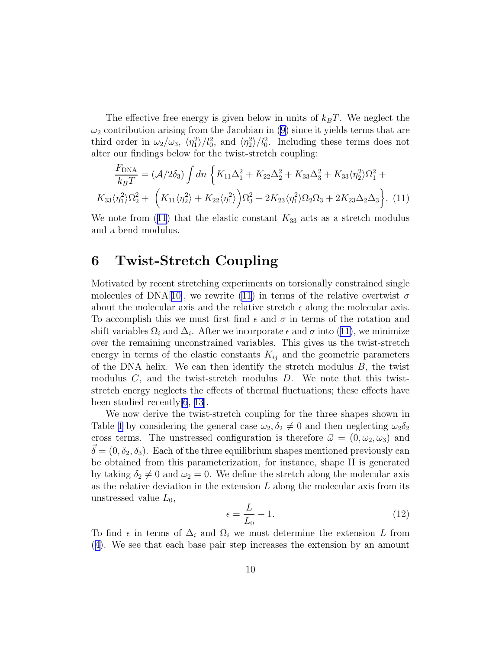<span id="page-9-0"></span>The effective free energy is given below in units of  $k_BT$ . We neglect the  $\omega_2$  contribution arising from the Jacobian in [\(9](#page-7-0)) since it yields terms that are third order in  $\omega_2/\omega_3$ ,  $\langle \eta_1^2 \rangle / l_0^2$ , and  $\langle \eta_2^2 \rangle / l_0^2$ . Including these terms does not alter our findings below for the twist-stretch coupling:

$$
\frac{F_{\text{DNA}}}{k_B T} = (\mathcal{A}/2\delta_3) \int dn \left\{ K_{11} \Delta_1^2 + K_{22} \Delta_2^2 + K_{33} \Delta_3^2 + K_{33} \langle \eta_2^2 \rangle \Omega_1^2 + K_{33} \langle \eta_1^2 \rangle \Omega_2^2 + \left( K_{11} \langle \eta_2^2 \rangle + K_{22} \langle \eta_1^2 \rangle \right) \Omega_3^2 - 2K_{23} \langle \eta_1^2 \rangle \Omega_2 \Omega_3 + 2K_{23} \Delta_2 \Delta_3 \right\}.
$$
 (11)

We note from (11) that the elastic constant  $K_{33}$  acts as a stretch modulus and a bend modulus.

### 6 Twist-Stretch Coupling

Motivated by recent stretching experiments on torsionally constrained single molecules of DNA[[10\]](#page-16-0), we rewrite (11) in terms of the relative overtwist  $\sigma$ about the molecular axis and the relative stretch  $\epsilon$  along the molecular axis. To accomplish this we must first find  $\epsilon$  and  $\sigma$  in terms of the rotation and shift variables  $\Omega_i$  and  $\Delta_i$ . After we incorporate  $\epsilon$  and  $\sigma$  into (11), we minimize over the remaining unconstrained variables. This gives us the twist-stretch energy in terms of the elastic constants  $K_{ij}$  and the geometric parameters of the DNA helix. We can then identify the stretch modulus  $B$ , the twist modulus  $C$ , and the twist-stretch modulus  $D$ . We note that this twiststretch energy neglects the effects of thermal fluctuations; these effects have been studied recently[\[6](#page-16-0), [13](#page-16-0)].

We now derive the twist-stretch coupling for the three shapes shown in Table [1](#page-6-0) by considering the general case  $\omega_2, \delta_2 \neq 0$  and then neglecting  $\omega_2 \delta_2$ cross terms. The unstressed configuration is therefore  $\vec{\omega} = (0, \omega_2, \omega_3)$  and  $\vec{\delta} = (0, \delta_2, \delta_3)$ . Each of the three equilibrium shapes mentioned previously can be obtained from this parameterization, for instance, shape II is generated by taking  $\delta_2 \neq 0$  and  $\omega_2 = 0$ . We define the stretch along the molecular axis as the relative deviation in the extension  $L$  along the molecular axis from its unstressed value  $L_0$ ,

$$
\epsilon = \frac{L}{L_0} - 1.\tag{12}
$$

To find  $\epsilon$  in terms of  $\Delta_i$  and  $\Omega_i$  we must determine the extension L from ([4\)](#page-5-0). We see that each base pair step increases the extension by an amount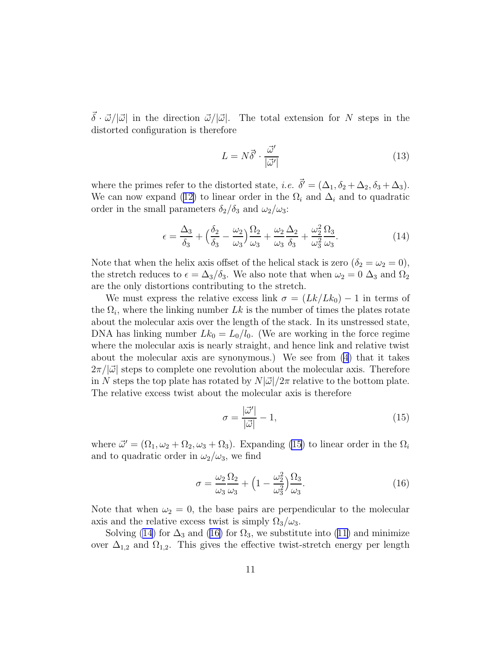$\vec{\delta} \cdot \vec{\omega}/|\vec{\omega}|$  in the direction  $\vec{\omega}/|\vec{\omega}|$ . The total extension for N steps in the distorted configuration is therefore

$$
L = N\vec{\delta}' \cdot \frac{\vec{\omega}'}{|\vec{\omega}'|} \tag{13}
$$

where the primes refer to the distorted state, *i.e.*  $\vec{\delta}' = (\Delta_1, \delta_2 + \Delta_2, \delta_3 + \Delta_3)$ . Wecan now expand ([12\)](#page-9-0) to linear order in the  $\Omega_i$  and  $\Delta_i$  and to quadratic order in the small parameters  $\delta_2/\delta_3$  and  $\omega_2/\omega_3$ :

$$
\epsilon = \frac{\Delta_3}{\delta_3} + \left(\frac{\delta_2}{\delta_3} - \frac{\omega_2}{\omega_3}\right) \frac{\Omega_2}{\omega_3} + \frac{\omega_2}{\omega_3} \frac{\Delta_2}{\delta_3} + \frac{\omega_2^2}{\omega_3^2} \frac{\Omega_3}{\omega_3}.
$$
 (14)

Note that when the helix axis offset of the helical stack is zero  $(\delta_2 = \omega_2 = 0)$ , the stretch reduces to  $\epsilon = \Delta_3/\delta_3$ . We also note that when  $\omega_2 = 0$   $\Delta_3$  and  $\Omega_2$ are the only distortions contributing to the stretch.

We must express the relative excess link  $\sigma = (Lk/Lk_0) - 1$  in terms of the  $\Omega_i$ , where the linking number Lk is the number of times the plates rotate about the molecular axis over the length of the stack. In its unstressed state, DNA has linking number  $Lk_0 = L_0/l_0$ . (We are working in the force regime where the molecular axis is nearly straight, and hence link and relative twist about the molecular axis are synonymous.) We see from [\(4](#page-5-0)) that it takes  $2\pi/|\vec{\omega}|$  steps to complete one revolution about the molecular axis. Therefore in N steps the top plate has rotated by  $N|\vec{\omega}|/2\pi$  relative to the bottom plate. The relative excess twist about the molecular axis is therefore

$$
\sigma = \frac{|\vec{\omega}'|}{|\vec{\omega}|} - 1,\tag{15}
$$

where  $\vec{\omega}' = (\Omega_1, \omega_2 + \Omega_2, \omega_3 + \Omega_3)$ . Expanding (15) to linear order in the  $\Omega_i$ and to quadratic order in  $\omega_2/\omega_3$ , we find

$$
\sigma = \frac{\omega_2}{\omega_3} \frac{\Omega_2}{\omega_3} + \left(1 - \frac{\omega_2^2}{\omega_3^2}\right) \frac{\Omega_3}{\omega_3}.
$$
\n(16)

Note that when  $\omega_2 = 0$ , the base pairs are perpendicular to the molecular axis and the relative excess twist is simply  $\Omega_3/\omega_3$ .

Solving(14) for  $\Delta_3$  and (16) for  $\Omega_3$ , we substitute into ([11\)](#page-9-0) and minimize over  $\Delta_{1,2}$  and  $\Omega_{1,2}$ . This gives the effective twist-stretch energy per length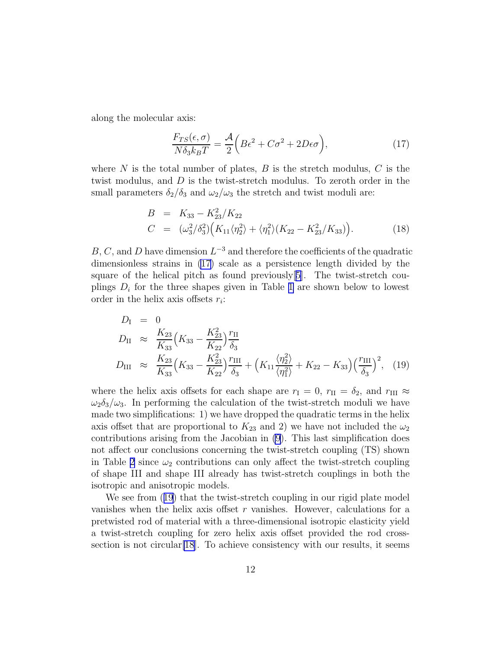along the molecular axis:

$$
\frac{F_{TS}(\epsilon,\sigma)}{N\delta_3 k_B T} = \frac{\mathcal{A}}{2} \left( B\epsilon^2 + C\sigma^2 + 2D\epsilon\sigma \right),\tag{17}
$$

where N is the total number of plates, B is the stretch modulus, C is the twist modulus, and D is the twist-stretch modulus. To zeroth order in the small parameters  $\delta_2/\delta_3$  and  $\omega_2/\omega_3$  the stretch and twist moduli are:

$$
B = K_{33} - K_{23}^2 / K_{22}
$$
  
\n
$$
C = (\omega_3^2 / \delta_3^2) (K_{11} \langle \eta_2^2 \rangle + \langle \eta_1^2 \rangle (K_{22} - K_{23}^2 / K_{33})).
$$
\n(18)

B, C, and D have dimension  $L^{-3}$  and therefore the coefficients of the quadratic dimensionless strains in (17) scale as a persistence length divided by the square of the helical pitch as found previously  $[5]$  $[5]$  $[5]$ . The twist-stretch couplings  $D_i$  for the three shapes given in Table [1](#page-6-0) are shown below to lowest order in the helix axis offsets  $r_i$ :

$$
D_{\rm I} = 0
$$
  
\n
$$
D_{\rm II} \approx \frac{K_{23}}{K_{33}} \Big( K_{33} - \frac{K_{23}^2}{K_{22}} \Big) \frac{r_{\rm II}}{\delta_3}
$$
  
\n
$$
D_{\rm III} \approx \frac{K_{23}}{K_{33}} \Big( K_{33} - \frac{K_{23}^2}{K_{22}} \Big) \frac{r_{\rm III}}{\delta_3} + \Big( K_{11} \frac{\langle \eta_2^2 \rangle}{\langle \eta_1^2 \rangle} + K_{22} - K_{33} \Big) \Big( \frac{r_{\rm III}}{\delta_3} \Big)^2, \quad (19)
$$

where the helix axis offsets for each shape are  $r_I = 0$ ,  $r_{II} = \delta_2$ , and  $r_{III} \approx$  $\omega_2 \delta_3/\omega_3$ . In performing the calculation of the twist-stretch moduli we have made two simplifications: 1) we have dropped the quadratic terms in the helix axis offset that are proportional to  $K_{23}$  and 2) we have not included the  $\omega_2$ contributions arising from the Jacobian in [\(9](#page-7-0)). This last simplification does not affect our conclusions concerning the twist-stretch coupling (TS) shown in Table [2](#page-12-0) since  $\omega_2$  contributions can only affect the twist-stretch coupling of shape III and shape III already has twist-stretch couplings in both the isotropic and anisotropic models.

We see from  $(19)$  that the twist-stretch coupling in our rigid plate model vanishes when the helix axis offset  $r$  vanishes. However, calculations for a pretwisted rod of material with a three-dimensional isotropic elasticity yield a twist-stretch coupling for zero helix axis offset provided the rod crosssection is not circular[\[18](#page-17-0)]. To achieve consistency with our results, it seems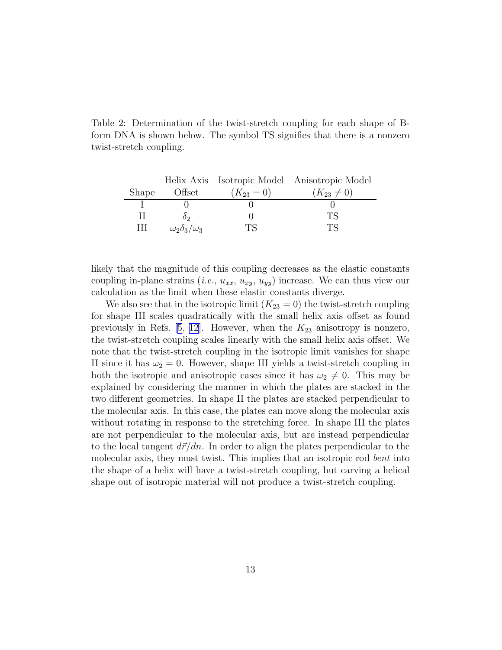<span id="page-12-0"></span>Table 2: Determination of the twist-stretch coupling for each shape of Bform DNA is shown below. The symbol TS signifies that there is a nonzero twist-stretch coupling.

|       |                             |              | Helix Axis Isotropic Model Anisotropic Model |
|-------|-----------------------------|--------------|----------------------------------------------|
| Shape | Offset                      | $(K_{23}=0)$ | $(K_{23} \neq 0)$                            |
|       |                             |              |                                              |
| Ш     |                             |              | TS                                           |
| Ш     | $\omega_2\delta_3/\omega_3$ |              | ГS                                           |

likely that the magnitude of this coupling decreases as the elastic constants coupling in-plane strains (*i.e.*,  $u_{xx}$ ,  $u_{xy}$ ,  $u_{yy}$ ) increase. We can thus view our calculation as the limit when these elastic constants diverge.

We also see that in the isotropic limit  $(K_{23} = 0)$  the twist-stretch coupling for shape III scales quadratically with the small helix axis offset as found previouslyin Refs.  $[5, 12]$  $[5, 12]$  $[5, 12]$  $[5, 12]$  $[5, 12]$ . However, when the  $K_{23}$  anisotropy is nonzero, the twist-stretch coupling scales linearly with the small helix axis offset. We note that the twist-stretch coupling in the isotropic limit vanishes for shape II since it has  $\omega_2 = 0$ . However, shape III yields a twist-stretch coupling in both the isotropic and anisotropic cases since it has  $\omega_2 \neq 0$ . This may be explained by considering the manner in which the plates are stacked in the two different geometries. In shape II the plates are stacked perpendicular to the molecular axis. In this case, the plates can move along the molecular axis without rotating in response to the stretching force. In shape III the plates are not perpendicular to the molecular axis, but are instead perpendicular to the local tangent  $d\vec{r}/dn$ . In order to align the plates perpendicular to the molecular axis, they must twist. This implies that an isotropic rod *bent* into the shape of a helix will have a twist-stretch coupling, but carving a helical shape out of isotropic material will not produce a twist-stretch coupling.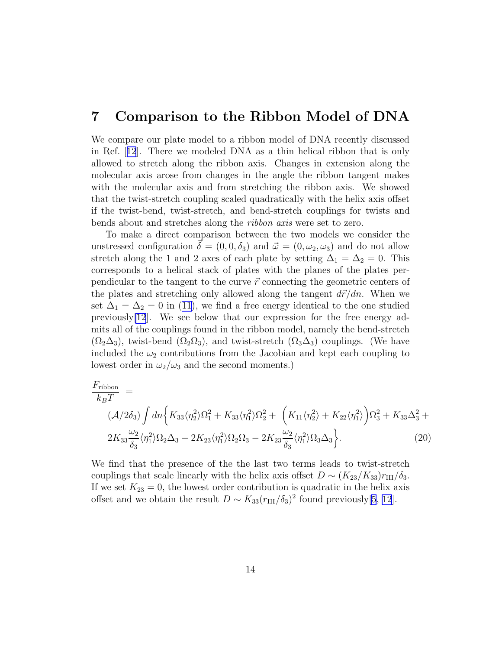#### 7 Comparison to the Ribbon Model of DNA

We compare our plate model to a ribbon model of DNA recently discussed in Ref.[[12](#page-16-0)]. There we modeled DNA as a thin helical ribbon that is only allowed to stretch along the ribbon axis. Changes in extension along the molecular axis arose from changes in the angle the ribbon tangent makes with the molecular axis and from stretching the ribbon axis. We showed that the twist-stretch coupling scaled quadratically with the helix axis offset if the twist-bend, twist-stretch, and bend-stretch couplings for twists and bends about and stretches along the *ribbon axis* were set to zero.

To make a direct comparison between the two models we consider the unstressed configuration  $\vec{\delta} = (0, 0, \delta_3)$  and  $\vec{\omega} = (0, \omega_2, \omega_3)$  and do not allow stretch along the 1 and 2 axes of each plate by setting  $\Delta_1 = \Delta_2 = 0$ . This corresponds to a helical stack of plates with the planes of the plates perpendicular to the tangent to the curve  $\vec{r}$  connecting the geometric centers of the plates and stretching only allowed along the tangent  $d\vec{r}/dn$ . When we set $\Delta_1 = \Delta_2 = 0$  in ([11\)](#page-9-0), we find a free energy identical to the one studied previously[\[12](#page-16-0)]. We see below that our expression for the free energy admits all of the couplings found in the ribbon model, namely the bend-stretch  $(\Omega_2\Delta_3)$ , twist-bend  $(\Omega_2\Omega_3)$ , and twist-stretch  $(\Omega_3\Delta_3)$  couplings. (We have included the  $\omega_2$  contributions from the Jacobian and kept each coupling to lowest order in  $\omega_2/\omega_3$  and the second moments.)

$$
\frac{F_{\text{ribbon}}}{k_B T} = \left(\mathcal{A}/2\delta_3\right) \int dn \left\{ K_{33} \langle \eta_2^2 \rangle \Omega_1^2 + K_{33} \langle \eta_1^2 \rangle \Omega_2^2 + \left( K_{11} \langle \eta_2^2 \rangle + K_{22} \langle \eta_1^2 \rangle \right) \Omega_3^2 + K_{33} \Delta_3^2 + 2K_{33} \frac{\omega_2}{\delta_3} \langle \eta_1^2 \rangle \Omega_2 \Delta_3 - 2K_{23} \langle \eta_1^2 \rangle \Omega_2 \Omega_3 - 2K_{23} \frac{\omega_2}{\delta_3} \langle \eta_1^2 \rangle \Omega_3 \Delta_3 \right\}.
$$
\n(20)

We find that the presence of the the last two terms leads to twist-stretch couplings that scale linearly with the helix axis offset  $D \sim (K_{23}/K_{33})r_{\text{III}}/\delta_3$ . If we set  $K_{23} = 0$ , the lowest order contribution is quadratic in the helix axis offset and we obtain the result  $D \sim K_{33}(r_{\text{III}}/\delta_3)^2$  found previously[\[5](#page-16-0), [12](#page-16-0)].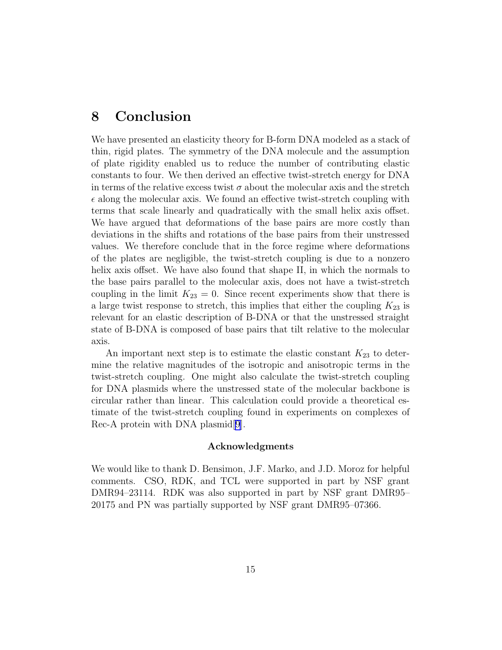# 8 Conclusion

We have presented an elasticity theory for B-form DNA modeled as a stack of thin, rigid plates. The symmetry of the DNA molecule and the assumption of plate rigidity enabled us to reduce the number of contributing elastic constants to four. We then derived an effective twist-stretch energy for DNA in terms of the relative excess twist  $\sigma$  about the molecular axis and the stretch  $\epsilon$  along the molecular axis. We found an effective twist-stretch coupling with terms that scale linearly and quadratically with the small helix axis offset. We have argued that deformations of the base pairs are more costly than deviations in the shifts and rotations of the base pairs from their unstressed values. We therefore conclude that in the force regime where deformations of the plates are negligible, the twist-stretch coupling is due to a nonzero helix axis offset. We have also found that shape II, in which the normals to the base pairs parallel to the molecular axis, does not have a twist-stretch coupling in the limit  $K_{23} = 0$ . Since recent experiments show that there is a large twist response to stretch, this implies that either the coupling  $K_{23}$  is relevant for an elastic description of B-DNA or that the unstressed straight state of B-DNA is composed of base pairs that tilt relative to the molecular axis.

An important next step is to estimate the elastic constant  $K_{23}$  to determine the relative magnitudes of the isotropic and anisotropic terms in the twist-stretch coupling. One might also calculate the twist-stretch coupling for DNA plasmids where the unstressed state of the molecular backbone is circular rather than linear. This calculation could provide a theoretical estimate of the twist-stretch coupling found in experiments on complexes of Rec-A protein with DNA plasmid[\[9](#page-16-0)].

#### Acknowledgments

We would like to thank D. Bensimon, J.F. Marko, and J.D. Moroz for helpful comments. CSO, RDK, and TCL were supported in part by NSF grant DMR94–23114. RDK was also supported in part by NSF grant DMR95– 20175 and PN was partially supported by NSF grant DMR95–07366.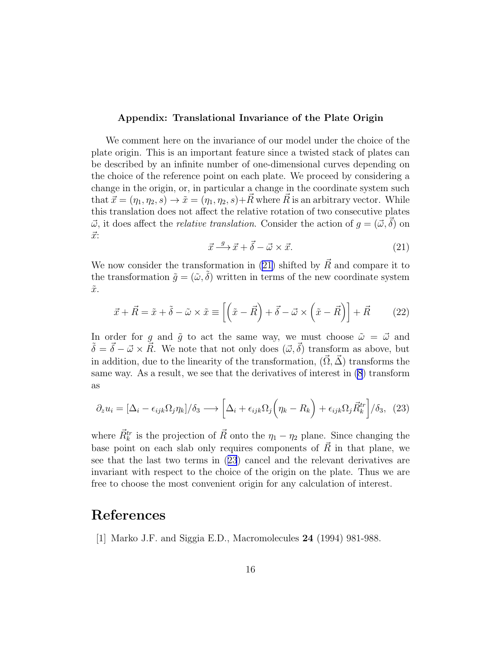#### <span id="page-15-0"></span>Appendix: Translational Invariance of the Plate Origin

We comment here on the invariance of our model under the choice of the plate origin. This is an important feature since a twisted stack of plates can be described by an infinite number of one-dimensional curves depending on the choice of the reference point on each plate. We proceed by considering a change in the origin, or, in particular a change in the coordinate system such that  $\vec{x} = (\eta_1, \eta_2, s) \rightarrow \tilde{x} = (\eta_1, \eta_2, s) + \vec{R}$  where  $\vec{R}$  is an arbitrary vector. While this translation does not affect the relative rotation of two consecutive plates  $\vec{\omega}$ , it does affect the *relative translation*. Consider the action of  $g = (\vec{\omega}, \delta)$  on  $\vec{x}$ :

$$
\vec{x} \xrightarrow{g} \vec{x} + \vec{\delta} - \vec{\omega} \times \vec{x}.\tag{21}
$$

We now consider the transformation in (21) shifted by  $\vec{R}$  and compare it to the transformation  $\tilde{q} = (\tilde{\omega}, \tilde{\delta})$  written in terms of the new coordinate system  $\tilde{x}$ .

$$
\vec{x} + \vec{R} = \tilde{x} + \tilde{\delta} - \tilde{\omega} \times \tilde{x} \equiv \left[ \left( \tilde{x} - \vec{R} \right) + \vec{\delta} - \vec{\omega} \times \left( \tilde{x} - \vec{R} \right) \right] + \vec{R} \tag{22}
$$

In order for g and  $\tilde{g}$  to act the same way, we must choose  $\tilde{\omega} = \vec{\omega}$  and  $\tilde{\delta} = \vec{\delta} - \vec{\omega} \times \vec{R}$ . We note that not only does  $(\vec{\omega}, \vec{\delta})$  transform as above, but in addition, due to the linearity of the transformation,  $(\vec{\Omega}, \vec{\Delta})$  transforms the same way. As a result, we see that the derivatives of interest in [\(8](#page-7-0)) transform as

$$
\partial_z u_i = [\Delta_i - \epsilon_{ijk}\Omega_j \eta_k]/\delta_3 \longrightarrow \left[\Delta_i + \epsilon_{ijk}\Omega_j \left(\eta_k - R_k\right) + \epsilon_{ijk}\Omega_j \vec{R}_k^{tr}\right]/\delta_3, (23)
$$

where  $\vec{R}_{k}^{tr}$  is the projection of  $\vec{R}$  onto the  $\eta_1 - \eta_2$  plane. Since changing the base point on each slab only requires components of  $\vec{R}$  in that plane, we see that the last two terms in (23) cancel and the relevant derivatives are invariant with respect to the choice of the origin on the plate. Thus we are free to choose the most convenient origin for any calculation of interest.

### References

[1] Marko J.F. and Siggia E.D., Macromolecules 24 (1994) 981-988.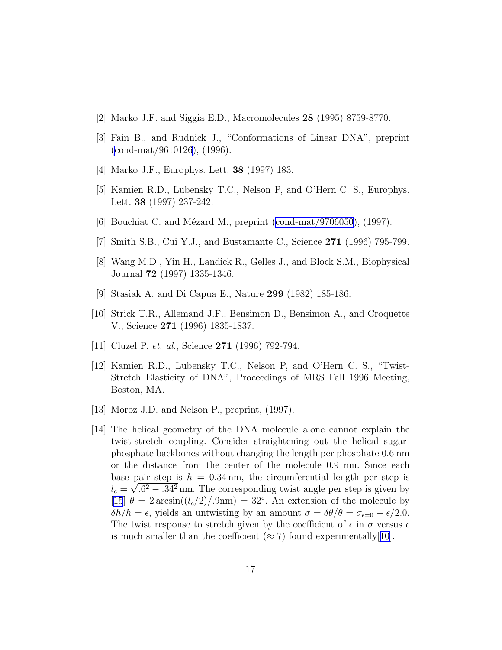- <span id="page-16-0"></span>[2] Marko J.F. and Siggia E.D., Macromolecules 28 (1995) 8759-8770.
- [3] Fain B., and Rudnick J., "Conformations of Linear DNA", preprint ([cond-mat/9610126](http://arxiv.org/abs/cond-mat/9610126)), (1996).
- [4] Marko J.F., Europhys. Lett. 38 (1997) 183.
- [5] Kamien R.D., Lubensky T.C., Nelson P, and O'Hern C. S., Europhys. Lett. 38 (1997) 237-242.
- [6] Bouchiat C. and Mézard M., preprint [\(cond-mat/9706050](http://arxiv.org/abs/cond-mat/9706050)),  $(1997)$ .
- [7] Smith S.B., Cui Y.J., and Bustamante C., Science 271 (1996) 795-799.
- [8] Wang M.D., Yin H., Landick R., Gelles J., and Block S.M., Biophysical Journal 72 (1997) 1335-1346.
- [9] Stasiak A. and Di Capua E., Nature 299 (1982) 185-186.
- [10] Strick T.R., Allemand J.F., Bensimon D., Bensimon A., and Croquette V., Science 271 (1996) 1835-1837.
- [11] Cluzel P. *et. al.*, Science 271 (1996) 792-794.
- [12] Kamien R.D., Lubensky T.C., Nelson P, and O'Hern C. S., "Twist-Stretch Elasticity of DNA", Proceedings of MRS Fall 1996 Meeting, Boston, MA.
- [13] Moroz J.D. and Nelson P., preprint, (1997).
- [14] The helical geometry of the DNA molecule alone cannot explain the twist-stretch coupling. Consider straightening out the helical sugarphosphate backbones without changing the length per phosphate 0.6 nm or the distance from the center of the molecule 0.9 nm. Since each base pair step is  $h = 0.34$  nm, the circumferential length per step is  $l_c = \sqrt{.6^2 - .34^2}$  nm. The corresponding twist angle per step is given by [[15](#page-17-0)]  $\theta = 2 \arcsin((l_c/2)/.9 \text{nm}) = 32^\circ$ . An extension of the molecule by  $\delta h/h = \epsilon$ , yields an untwisting by an amount  $\sigma = \delta \theta / \theta = \sigma_{\epsilon=0} - \epsilon / 2.0$ . The twist response to stretch given by the coefficient of  $\epsilon$  in  $\sigma$  versus  $\epsilon$ is much smaller than the coefficient  $(\approx 7)$  found experimentally [10].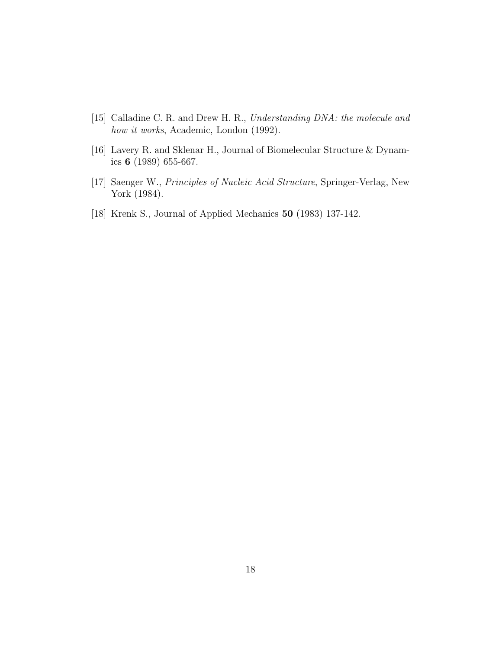- <span id="page-17-0"></span>[15] Calladine C. R. and Drew H. R., *Understanding DNA: the molecule and how it works*, Academic, London (1992).
- [16] Lavery R. and Sklenar H., Journal of Biomelecular Structure & Dynamics 6 (1989) 655-667.
- [17] Saenger W., *Principles of Nucleic Acid Structure*, Springer-Verlag, New York (1984).
- [18] Krenk S., Journal of Applied Mechanics 50 (1983) 137-142.